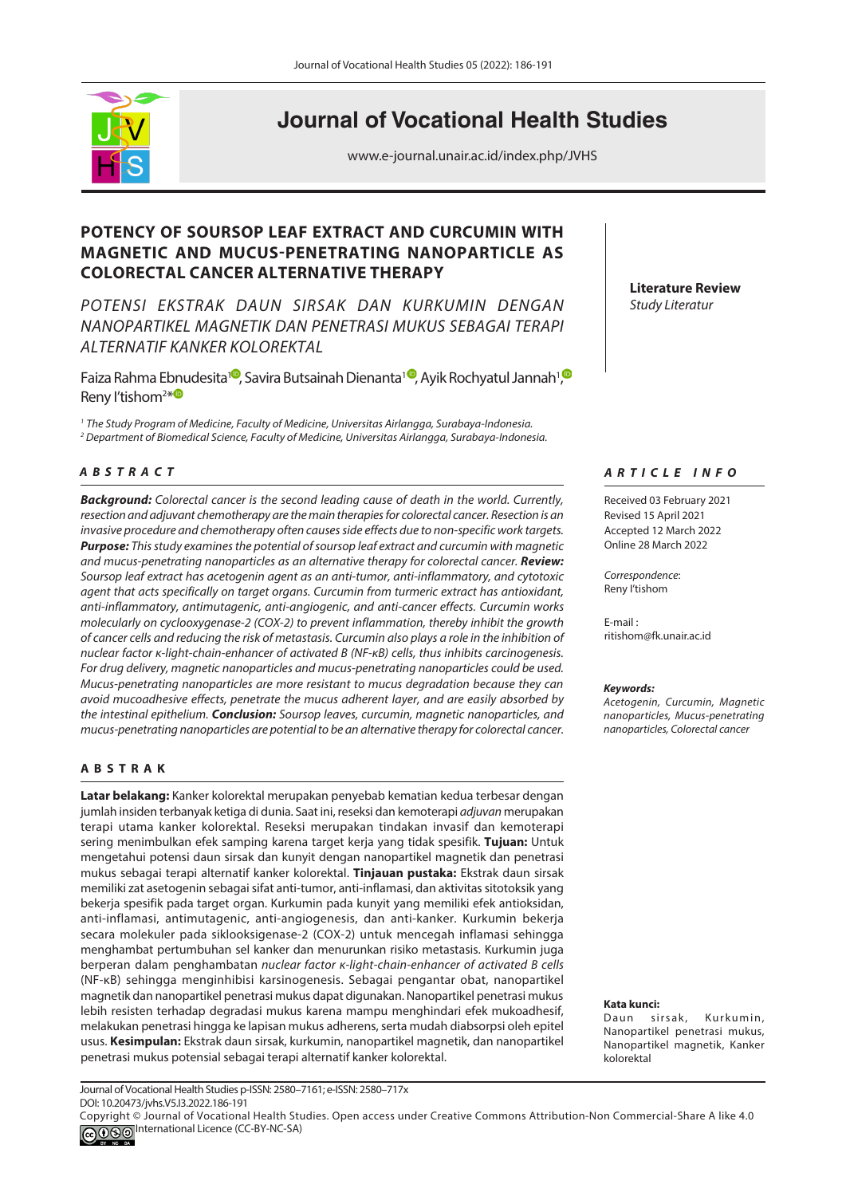

# **Journal of Vocational Health Studies**

www.e-journal.unair.ac.id/index.php/JVHS

# **POTENCY OF SOURSOP LEAF EXTRACT AND CURCUMIN WITH MAGNETIC AND MUCUS-PENETRATING NANOPARTICLE AS COLORECTAL CANCER ALTERNATIVE THERAPY**

*POTENSI EKSTRAK DAUN SIRSAK DAN KURKUMIN DENGAN NANOPARTIKEL MAGNETIK DAN PENETRASI MUKUS SEBAGAI TERAPI ALTERNATIF KANKER KOLOREKTAL*

Faiza Rahma Ebnudesita1<sup>0</sup>[,](https://orcid.org/0000-0001-7022-5828) Savira Butsainah Dienanta<sup>10</sup>[,](https://orcid.org/0000-0001-5993-7138) Ayik Rochyatul Jannah<sup>1</sup>, Reny l'tishom<sup>2\*</sup>

*<sup>1</sup>*The Study Program of Medicine*,* Faculty of Medicine, *Universitas Airlangga, Surabaya-Indonesia.* 

*2 Department of* Biomedical Science*, Faculty of Medicine, Universitas Airlangga, Surabaya-Indonesia.*

# *<sup>A</sup> <sup>B</sup> STRACT*

*Background: Colorectal cancer is the second leading cause of death in the world. Currently, resection and adjuvant chemotherapy are the main therapies for colorectal cancer. Resection is an invasive procedure and chemotherapy often causes side effects due to non-specific work targets. Purpose: This study examines the potential of soursop leaf extract and curcumin with magnetic and mucus-penetrating nanoparticles as an alternative therapy for colorectal cancer. Review: Soursop leaf extract has acetogenin agent as an anti-tumor, anti-inflammatory, and cytotoxic agent that acts specifically on target organs. Curcumin from turmeric extract has antioxidant, anti-inflammatory, antimutagenic, anti-angiogenic, and anti-cancer effects. Curcumin works molecularly on cyclooxygenase-2 (COX-2) to prevent inflammation, thereby inhibit the growth of cancer cells and reducing the risk of metastasis. Curcumin also plays a role in the inhibition of nuclear factor κ-light-chain-enhancer of activated B (NF-κB) cells, thus inhibits carcinogenesis. For drug delivery, magnetic nanoparticles and mucus-penetrating nanoparticles could be used. Mucus-penetrating nanoparticles are more resistant to mucus degradation because they can avoid mucoadhesive effects, penetrate the mucus adherent layer, and are easily absorbed by the intestinal epithelium. Conclusion: Soursop leaves, curcumin, magnetic nanoparticles, and mucus-penetrating nanoparticles are potential to be an alternative therapy for colorectal cancer.*

#### **A BSTRAK**

**Latar belakang:** Kanker kolorektal merupakan penyebab kematian kedua terbesar dengan jumlah insiden terbanyak ketiga di dunia. Saat ini, reseksi dan kemoterapi *adjuvan* merupakan terapi utama kanker kolorektal. Reseksi merupakan tindakan invasif dan kemoterapi sering menimbulkan efek samping karena target kerja yang tidak spesifik. **Tujuan:** Untuk mengetahui potensi daun sirsak dan kunyit dengan nanopartikel magnetik dan penetrasi mukus sebagai terapi alternatif kanker kolorektal. **Tinjauan pustaka:** Ekstrak daun sirsak memiliki zat asetogenin sebagai sifat anti-tumor, anti-inflamasi, dan aktivitas sitotoksik yang bekerja spesifik pada target organ. Kurkumin pada kunyit yang memiliki efek antioksidan, anti-inflamasi, antimutagenic, anti-angiogenesis, dan anti-kanker. Kurkumin bekerja secara molekuler pada siklooksigenase-2 (COX-2) untuk mencegah inflamasi sehingga menghambat pertumbuhan sel kanker dan menurunkan risiko metastasis. Kurkumin juga berperan dalam penghambatan *nuclear factor κ-light-chain-enhancer of activated B cells* (NF-κB) sehingga menginhibisi karsinogenesis. Sebagai pengantar obat, nanopartikel magnetik dan nanopartikel penetrasi mukus dapat digunakan. Nanopartikel penetrasi mukus lebih resisten terhadap degradasi mukus karena mampu menghindari efek mukoadhesif, melakukan penetrasi hingga ke lapisan mukus adherens, serta mudah diabsorpsi oleh epitel usus. **Kesimpulan:** Ekstrak daun sirsak, kurkumin, nanopartikel magnetik, dan nanopartikel penetrasi mukus potensial sebagai terapi alternatif kanker kolorektal.

**Literature Review** *Study Literatur*

#### *ARTICLE INFO*

Received 03 February 2021 Revised 15 April 2021 Accepted 12 March 2022 Online 28 March 2022

*Correspondence*: Reny I'tishom

E-mail : ritishom@fk.unair.ac.id

#### *Keywords:*

*Acetogenin, Curcumin, Magnetic nanoparticles, Mucus-penetrating nanoparticles, Colorectal cancer*

**Kata kunci:** 

Daun sirsak, Kurkumin, Nanopartikel penetrasi mukus, Nanopartikel magnetik, Kanker kolorektal

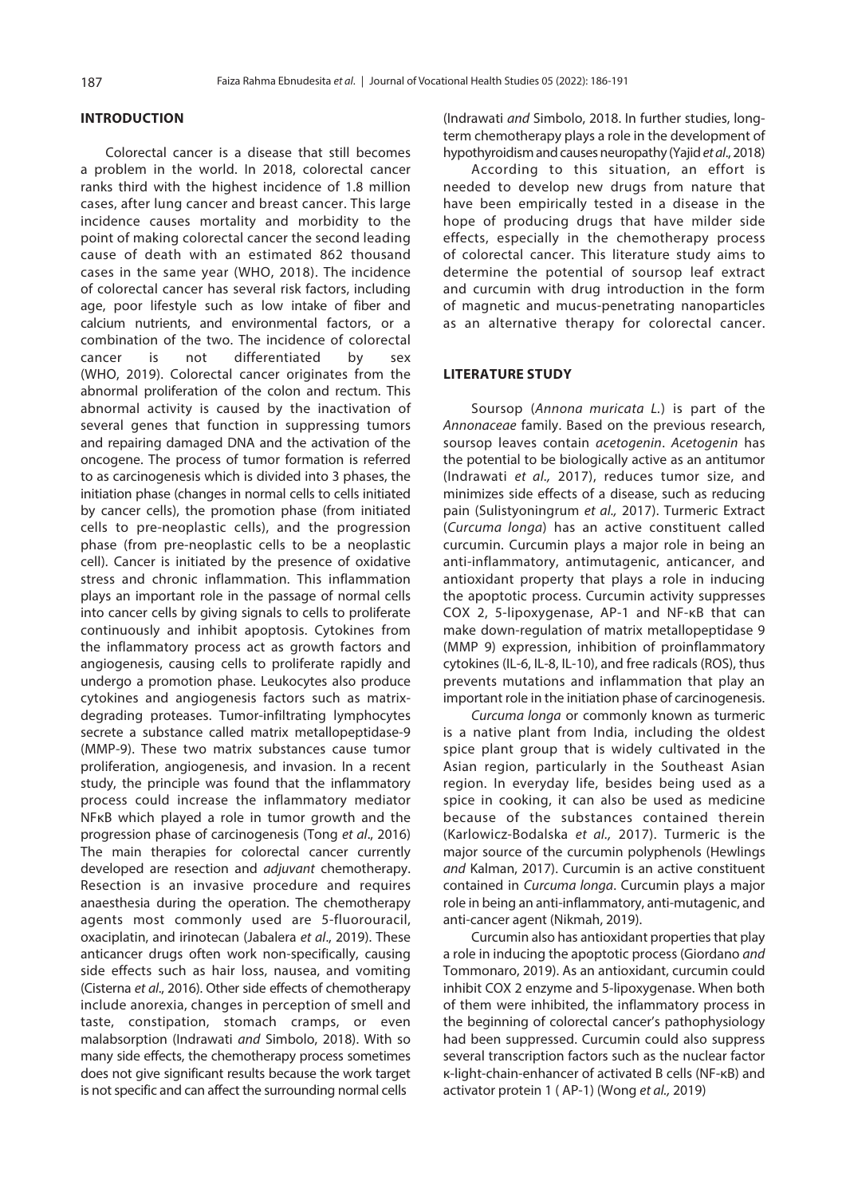#### **INTRODUCTION**

 Colorectal cancer is a disease that still becomes a problem in the world. In 2018, colorectal cancer ranks third with the highest incidence of 1.8 million cases, after lung cancer and breast cancer. This large incidence causes mortality and morbidity to the point of making colorectal cancer the second leading cause of death with an estimated 862 thousand cases in the same year [\(WHO, 2018\)](#page-5-0). The incidence of colorectal cancer has several risk factors, including age, poor lifestyle such as low intake of fiber and calcium nutrients, and environmental factors, or a combination of the two. The incidence of colorectal cancer is not differentiated by sex [\(WHO, 2019\).](#page-5-0) Colorectal cancer originates from the abnormal proliferation of the colon and rectum. This abnormal activity is caused by the inactivation of several genes that function in suppressing tumors and repairing damaged DNA and the activation of the oncogene. The process of tumor formation is referred to as carcinogenesis which is divided into 3 phases, the initiation phase (changes in normal cells to cells initiated by cancer cells), the promotion phase (from initiated cells to pre-neoplastic cells), and the progression phase (from pre-neoplastic cells to be a neoplastic cell). Cancer is initiated by the presence of oxidative stress and chronic inflammation. This inflammation plays an important role in the passage of normal cells into cancer cells by giving signals to cells to proliferate continuously and inhibit apoptosis. Cytokines from the inflammatory process act as growth factors and angiogenesis, causing cells to proliferate rapidly and undergo a promotion phase. Leukocytes also produce cytokines and angiogenesis factors such as matrixdegrading proteases. Tumor-infiltrating lymphocytes secrete a substance called matrix metallopeptidase-9 (MMP-9). These two matrix substances cause tumor proliferation, angiogenesis, and invasion. In a recent study, the principle was found that the inflammatory process could increase the inflammatory mediator NFκB which played a role in tumor growth and the progression phase of carcinogenesis (Tong *et al*., 2016) The main therapies for colorectal cancer currently developed are resection and *adjuvant* chemotherapy. Resection is an invasive procedure and requires anaesthesia during the operation. The chemotherapy agents most commonly used are 5-fluorouracil, oxaciplatin, and irinotecan [\(Jabalera](#page-5-0) *et al*., 2019). These anticancer drugs often work non-specifically, causing side effects such as hair loss, nausea, and vomiting [\(Cisterna](#page-4-0) *et al*., 2016). Other side effects of chemotherapy include anorexia, changes in perception of smell and taste, constipation, stomach cramps, or even malabsorption (Indrawati and [Simbolo, 2018\).](#page-5-0) With so many side effects, the chemotherapy process sometimes does not give significant results because the work target is not specific and can affect the surrounding normal cells

(Indrawati *and* [Simbolo, 2018.](#page-5-0) In further studies, longterm chemotherapy plays a role in the development of hypothyroidism and causes neuropathy (Yajid *et al*[., 2018\)](#page-5-0)

According to this situation, an effort is needed to develop new drugs from nature that have been empirically tested in a disease in the hope of producing drugs that have milder side effects, especially in the chemotherapy process of colorectal cancer. This literature study aims to determine the potential of soursop leaf extract and curcumin with drug introduction in the form of magnetic and mucus-penetrating nanoparticles as an alternative therapy for colorectal cancer.

#### **LITERATURE STUDY**

Soursop (*Annona muricata L.*) is part of the *Annonaceae* family. Based on the previous research, soursop leaves contain *acetogenin*. *Acetogenin* has the potential to be biologically active as an antitumor ([Indrawati](#page-5-0) *et al.,* 2017), reduces tumor size, and minimizes side effects of a disease, such as reducing pain [\(Sulistyoningrum](#page-5-0) *et al.,* 2017). Turmeric Extract (*Curcuma longa*) has an active constituent called curcumin. Curcumin plays a major role in being an anti-inflammatory, antimutagenic, anticancer, and antioxidant property that plays a role in inducing the apoptotic process. Curcumin activity suppresses COX 2, 5-lipoxygenase, AP-1 and NF-κB that can make down-regulation of matrix metallopeptidase 9 (MMP 9) expression, inhibition of proinflammatory cytokines (IL-6, IL-8, IL-10), and free radicals (ROS), thus prevents mutations and inflammation that play an important role in the initiation phase of carcinogenesis.

*Curcuma longa* or commonly known as turmeric is a native plant from India, including the oldest spice plant group that is widely cultivated in the Asian region, particularly in the Southeast Asian region. In everyday life, besides being used as a spice in cooking, it can also be used as medicine because of the substances contained therein [\(Karlowicz-Bodalska](#page-5-0) *et al.,* 2017). Turmeric is the major source of the curcumin polyphenols [\(Hewlings](#page-5-0)  *and* [Kalman, 2017](#page-5-0)). Curcumin is an active constituent contained in *Curcuma longa*. Curcumin plays a major role in being an anti-inflammatory, anti-mutagenic, and anti-cancer agent [\(Nikmah, 2019\).](#page-5-0)

Curcumin also has antioxidant properties that play a role in inducing the apoptotic process ([Giordano](#page-4-0) *and*  [Tommonaro, 2019\).](#page-4-0) As an antioxidant, curcumin could inhibit COX 2 enzyme and 5-lipoxygenase. When both of them were inhibited, the inflammatory process in the beginning of colorectal cancer's pathophysiology had been suppressed. Curcumin could also suppress several transcription factors such as the nuclear factor κ-light-chain-enhancer of activated B cells (NF-κB) and activator protein 1 ( AP-1) [\(Wong](#page-5-0) *et al.,* 2019)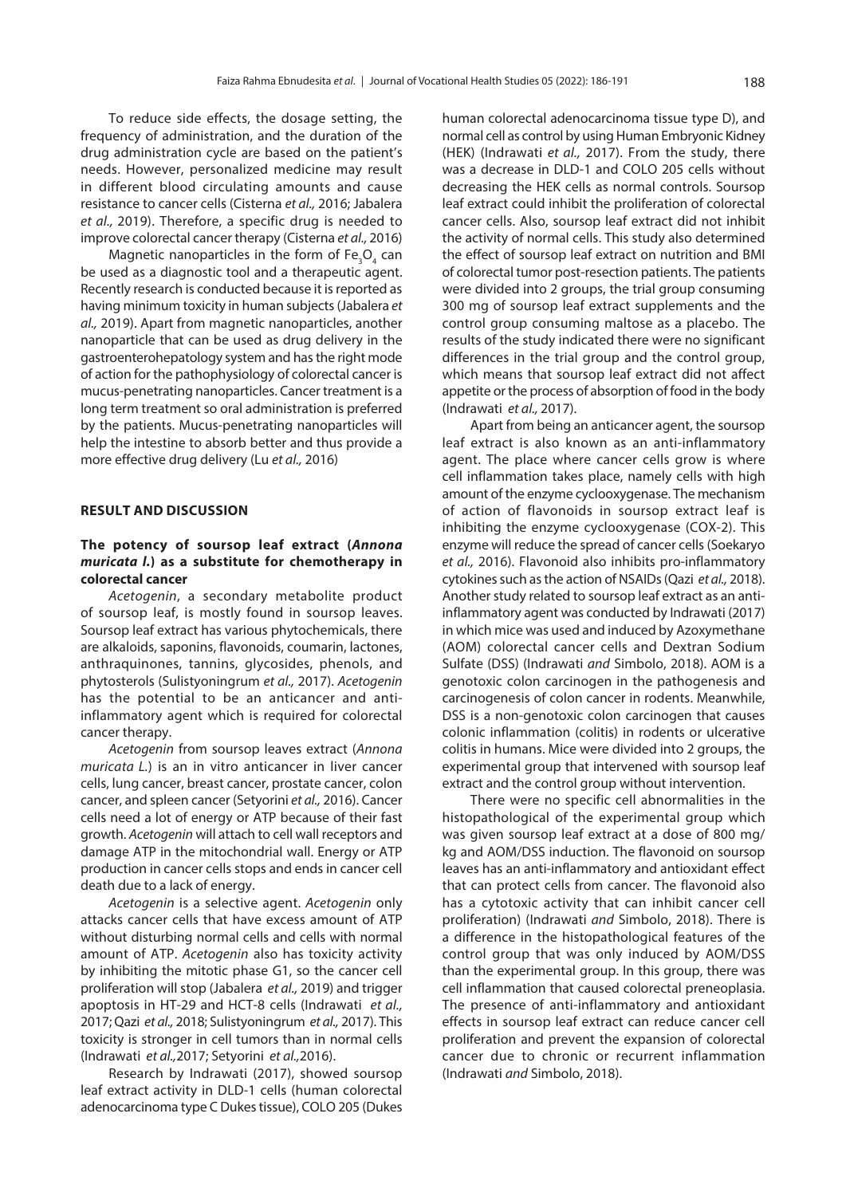To reduce side effects, the dosage setting, the frequency of administration, and the duration of the drug administration cycle are based on the patient's needs. However, personalized medicine may result in different blood circulating amounts and cause resistance to cancer cells [\(Cisterna](#page-4-0) *et al.,* 2016; Jabalera *et al.,* 2019). Therefore, a specific drug is needed to improve colorectal cancer therapy [\(Cisterna](#page-4-0) *et al.,* 2016)

Magnetic nanoparticles in the form of  $\text{Fe}_{3}\text{O}_{4}$  can be used as a diagnostic tool and a therapeutic agent. Recently research is conducted because it is reported as having minimum toxicity in human subjects [\(Jabalera](#page-5-0) *et al.,* [2019\)](#page-5-0). Apart from magnetic nanoparticles, another nanoparticle that can be used as drug delivery in the gastroenterohepatology system and has the right mode of action for the pathophysiology of colorectal cancer is mucus-penetrating nanoparticles. Cancer treatment is a long term treatment so oral administration is preferred by the patients. Mucus-penetrating nanoparticles will help the intestine to absorb better and thus provide a more effective drug delivery (Lu *et al.,* [2016\)](#page-5-0)

#### **RESULT AND DISCUSSION**

# **The potency of soursop leaf extract (***Annona muricata l.***) as a substitute for chemotherapy in colorectal cancer**

*Acetogenin*, a secondary metabolite product of soursop leaf, is mostly found in soursop leaves. Soursop leaf extract has various phytochemicals, there are alkaloids, saponins, flavonoids, coumarin, lactones, anthraquinones, tannins, glycosides, phenols, and phytosterols [\(Sulistyoningrum](#page-5-0) *et al.,* 2017). *Acetogenin*  has the potential to be an anticancer and antiinflammatory agent which is required for colorectal cancer therapy.

*Acetogenin* from soursop leaves extract (*Annona muricata L.*) is an in vitro anticancer in liver cancer cells, lung cancer, breast cancer, prostate cancer, colon cancer, and spleen cancer ([Setyorini](#page-5-0) *et al.,* 2016). Cancer cells need a lot of energy or ATP because of their fast growth. *Acetogenin* will attach to cell wall receptors and damage ATP in the mitochondrial wall. Energy or ATP production in cancer cells stops and ends in cancer cell death due to a lack of energy.

*Acetogenin* is a selective agent. *Acetogenin* only attacks cancer cells that have excess amount of ATP without disturbing normal cells and cells with normal amount of ATP. *Acetogenin* also has toxicity activity by inhibiting the mitotic phase G1, so the cancer cell proliferation will stop ([Jabalera](#page-5-0) *et al.,* 2019) and trigger apoptosis in HT-29 and HCT-8 cells (Indrawati *et al.,*  2017; [Qazi](#page-4-0) *et al.,* 2018; [Sulistyoningrum](#page-5-0) *et al.,* 2017). This toxicity is stronger in cell tumors than in normal cells [\(Indrawati](#page-5-0) *et al.,*2017; Setyorini *et al.,*2016).

Research by Indrawati (2017), showed soursop leaf extract activity in DLD-1 cells (human colorectal adenocarcinoma type C Dukes tissue), COLO 205 (Dukes

human colorectal adenocarcinoma tissue type D), and normal cell as control by using Human Embryonic Kidney (HEK) [\(Indrawati](#page-5-0) *et al.,* 2017). From the study, there was a decrease in DLD-1 and COLO 205 cells without decreasing the HEK cells as normal controls. Soursop leaf extract could inhibit the proliferation of colorectal cancer cells. Also, soursop leaf extract did not inhibit the activity of normal cells. This study also determined the effect of soursop leaf extract on nutrition and BMI of colorectal tumor post-resection patients. The patients were divided into 2 groups, the trial group consuming 300 mg of soursop leaf extract supplements and the control group consuming maltose as a placebo. The results of the study indicated there were no significant differences in the trial group and the control group, which means that soursop leaf extract did not affect appetite or the process of absorption of food in the body [\(Indrawati](#page-5-0) *et al.,* 2017).

Apart from being an anticancer agent, the soursop leaf extract is also known as an anti-inflammatory agent. The place where cancer cells grow is where cell inflammation takes place, namely cells with high amount of the enzyme cyclooxygenase. The mechanism of action of flavonoids in soursop extract leaf is inhibiting the enzyme cyclooxygenase (COX-2). This enzyme will reduce the spread of cancer cells [\(Soekaryo](#page-5-0)  *et al.,* [2016\)](#page-5-0). Flavonoid also inhibits pro-inflammatory cytokines such as the action of NSAIDs (Qazi *et al.,* [2018\).](#page-5-0)  Another study related to soursop leaf extract as an antiinflammatory agent was conducted by I[ndrawati \(2017\)](#page-5-0)  in which mice was used and induced by Azoxymethane (AOM) colorectal cancer cells and Dextran Sodium Sulfate (DSS) (Indrawati *and* Simbolo, 2018). AOM is a genotoxic colon carcinogen in the pathogenesis and carcinogenesis of colon cancer in rodents. Meanwhile, DSS is a non-genotoxic colon carcinogen that causes colonic inflammation (colitis) in rodents or ulcerative colitis in humans. Mice were divided into 2 groups, the experimental group that intervened with soursop leaf extract and the control group without intervention.

There were no specific cell abnormalities in the histopathological of the experimental group which was given soursop leaf extract at a dose of 800 mg/ kg and AOM/DSS induction. The flavonoid on soursop leaves has an anti-inflammatory and antioxidant effect that can protect cells from cancer. The flavonoid also has a cytotoxic activity that can inhibit cancer cell proliferation) (Indrawati *and* [Simbolo, 2018](#page-5-0)). There is a difference in the histopathological features of the control group that was only induced by AOM/DSS than the experimental group. In this group, there was cell inflammation that caused colorectal preneoplasia. The presence of anti-inflammatory and antioxidant effects in soursop leaf extract can reduce cancer cell proliferation and prevent the expansion of colorectal cancer due to chronic or recurrent inflammation (Indrawati *and* [Simbolo, 2018\).](#page-5-0)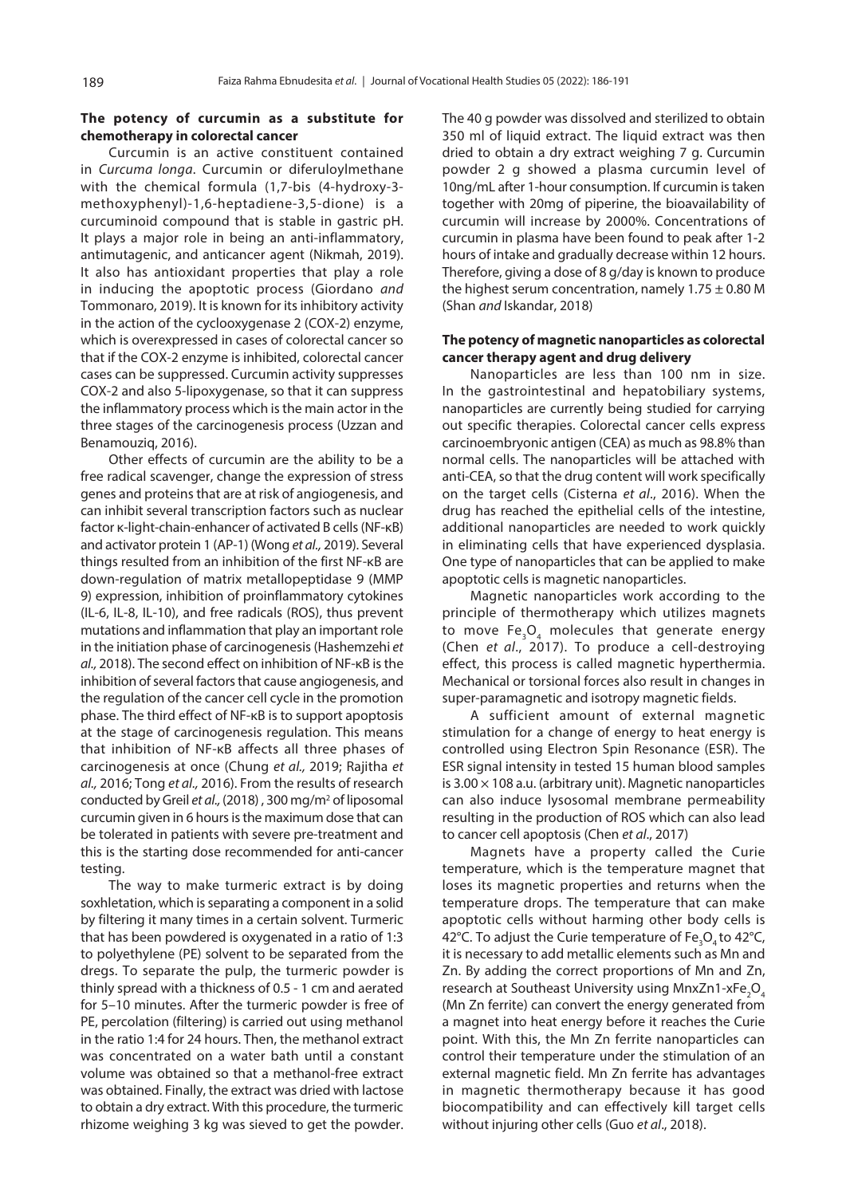# **The potency of curcumin as a substitute for chemotherapy in colorectal cancer**

Curcumin is an active constituent contained in *Curcuma longa*. Curcumin or diferuloylmethane with the chemical formula (1,7-bis (4-hydroxy-3 methoxyphenyl)-1,6-heptadiene-3,5-dione) is a curcuminoid compound that is stable in gastric pH. It plays a major role in being an anti-inflammatory, antimutagenic, and anticancer agent (Nikmah, 2019). It also has antioxidant properties that play a role in inducing the apoptotic process (Giordano *and* Tommonaro, 2019). It is known for its inhibitory activity in the action of the cyclooxygenase 2 (COX-2) enzyme, which is overexpressed in cases of colorectal cancer so that if the COX-2 enzyme is inhibited, colorectal cancer cases can be suppressed. Curcumin activity suppresses COX-2 and also 5-lipoxygenase, so that it can suppress the inflammatory process which is the main actor in the three stages of the carcinogenesis process [\(Uzzan and](#page-5-0)  Benamouziq, 2016).

Other effects of curcumin are the ability to be a free radical scavenger, change the expression of stress genes and proteins that are at risk of angiogenesis, and can inhibit several transcription factors such as nuclear factor κ-light-chain-enhancer of activated B cells (NF-κB) and activator protein 1 (AP-1) (Wong *et al.,* 2019). Several things resulted from an inhibition of the first NF-κB are down-regulation of matrix metallopeptidase 9 (MMP 9) expression, inhibition of proinflammatory cytokines (IL-6, IL-8, IL-10), and free radicals (ROS), thus prevent mutations and inflammation that play an important role in the initiation phase of carcinogenesis [\(Hashemzehi](#page-5-0) *et al.,* [2018](#page-5-0)). The second effect on inhibition of NF-κB is the inhibition of several factors that cause angiogenesis, and the regulation of the cancer cell cycle in the promotion phase. The third effect of NF-κB is to support apoptosis at the stage of carcinogenesis regulation. This means that inhibition of NF-κB affects all three phases of carcinogenesis at once ([Chung](#page-4-0) *et al.,* 2019; [Rajitha](#page-5-0) *et al.,* 2016; Tong *et al.,* [2016\)](#page-5-0). From the results of research conducted by Greil *et al.,* [\(2018](#page-4-0)) , 300 mg/m2 of liposomal curcumin given in 6 hours is the maximum dose that can be tolerated in patients with severe pre-treatment and this is the starting dose recommended for anti-cancer testing.

The way to make turmeric extract is by doing soxhletation, which is separating a component in a solid by filtering it many times in a certain solvent. Turmeric that has been powdered is oxygenated in a ratio of 1:3 to polyethylene (PE) solvent to be separated from the dregs. To separate the pulp, the turmeric powder is thinly spread with a thickness of 0.5 - 1 cm and aerated for 5–10 minutes. After the turmeric powder is free of PE, percolation (filtering) is carried out using methanol in the ratio 1:4 for 24 hours. Then, the methanol extract was concentrated on a water bath until a constant volume was obtained so that a methanol-free extract was obtained. Finally, the extract was dried with lactose to obtain a dry extract. With this procedure, the turmeric rhizome weighing 3 kg was sieved to get the powder. The 40 g powder was dissolved and sterilized to obtain 350 ml of liquid extract. The liquid extract was then dried to obtain a dry extract weighing 7 g. Curcumin powder 2 g showed a plasma curcumin level of 10ng/mL after 1-hour consumption. If curcumin is taken together with 20mg of piperine, the bioavailability of curcumin will increase by 2000%. Concentrations of curcumin in plasma have been found to peak after 1-2 hours of intake and gradually decrease within 12 hours. Therefore, giving a dose of 8 g/day is known to produce the highest serum concentration, namely  $1.75 \pm 0.80$  M (Shan *and* Iskandar, 2018)

#### **The potency of magnetic nanoparticles as colorectal cancer therapy agent and drug delivery**

Nanoparticles are less than 100 nm in size. In the gastrointestinal and hepatobiliary systems, nanoparticles are currently being studied for carrying out specific therapies. Colorectal cancer cells express carcinoembryonic antigen (CEA) as much as 98.8% than normal cells. The nanoparticles will be attached with anti-CEA, so that the drug content will work specifically on the target cells (Cisterna *et al*., 2016). When the drug has reached the epithelial cells of the intestine, additional nanoparticles are needed to work quickly in eliminating cells that have experienced dysplasia. One type of nanoparticles that can be applied to make apoptotic cells is magnetic nanoparticles.

Magnetic nanoparticles work according to the principle of thermotherapy which utilizes magnets to move Fe<sub>3</sub>O<sub>4</sub> molecules that generate energy (Chen *et al*., 2017). To produce a cell-destroying effect, this process is called magnetic hyperthermia. Mechanical or torsional forces also result in changes in super-paramagnetic and isotropy magnetic fields.

A sufficient amount of external magnetic stimulation for a change of energy to heat energy is controlled using Electron Spin Resonance (ESR). The ESR signal intensity in tested 15 human blood samples is  $3.00 \times 108$  a.u. (arbitrary unit). Magnetic nanoparticles can also induce lysosomal membrane permeability resulting in the production of ROS which can also lead to cancer cell apoptosis (Chen *et al*[., 2017](#page-4-0))

Magnets have a property called the Curie temperature, which is the temperature magnet that loses its magnetic properties and returns when the temperature drops. The temperature that can make apoptotic cells without harming other body cells is 42°C. To adjust the Curie temperature of Fe<sub>3</sub>O<sub>4</sub> to 42°C, it is necessary to add metallic elements such as Mn and Zn. By adding the correct proportions of Mn and Zn, research at Southeast University using MnxZn1-xFe<sub>2</sub>O<sub>4</sub> (Mn Zn ferrite) can convert the energy generated from a magnet into heat energy before it reaches the Curie point. With this, the Mn Zn ferrite nanoparticles can control their temperature under the stimulation of an external magnetic field. Mn Zn ferrite has advantages in magnetic thermotherapy because it has good biocompatibility and can effectively kill target cells without injuring other cells (Guo *et al*[., 2018](#page-4-0)).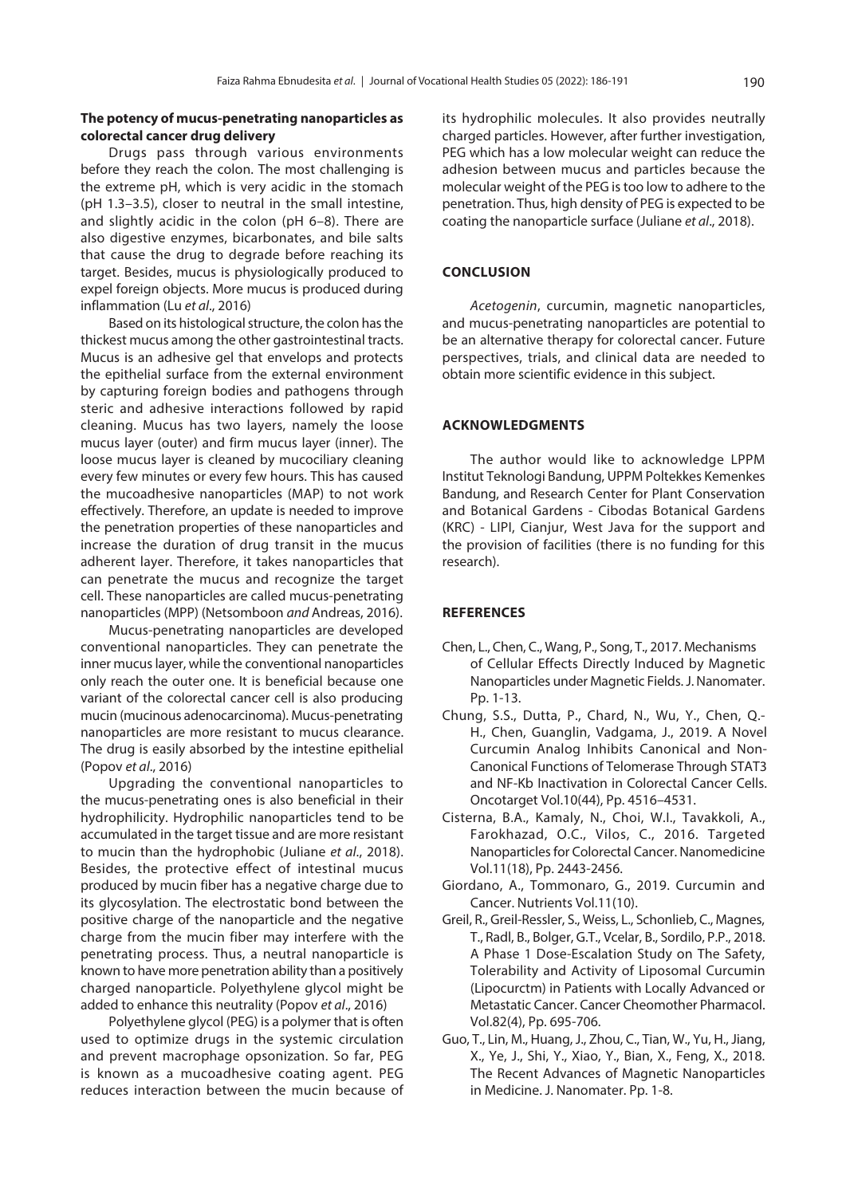# <span id="page-4-0"></span>**The potency of mucus-penetrating nanoparticles as colorectal cancer drug delivery**

Drugs pass through various environments before they reach the colon. The most challenging is the extreme pH, which is very acidic in the stomach (pH 1.3–3.5), closer to neutral in the small intestine, and slightly acidic in the colon (pH 6–8). There are also digestive enzymes, bicarbonates, and bile salts that cause the drug to degrade before reaching its target. Besides, mucus is physiologically produced to expel foreign objects. More mucus is produced during inflammation (Lu *et al*[., 2016\)](#page-5-0)

Based on its histological structure, the colon has the thickest mucus among the other gastrointestinal tracts. Mucus is an adhesive gel that envelops and protects the epithelial surface from the external environment by capturing foreign bodies and pathogens through steric and adhesive interactions followed by rapid cleaning. Mucus has two layers, namely the loose mucus layer (outer) and firm mucus layer (inner). The loose mucus layer is cleaned by mucociliary cleaning every few minutes or every few hours. This has caused the mucoadhesive nanoparticles (MAP) to not work effectively. Therefore, an update is needed to improve the penetration properties of these nanoparticles and increase the duration of drug transit in the mucus adherent layer. Therefore, it takes nanoparticles that can penetrate the mucus and recognize the target cell. These nanoparticles are called mucus-penetrating nanoparticles (MPP) (Netsomboon *and* [Andreas, 2016\).](#page-5-0)

Mucus-penetrating nanoparticles are developed conventional nanoparticles. They can penetrate the inner mucus layer, while the conventional nanoparticles only reach the outer one. It is beneficial because one variant of the colorectal cancer cell is also producing mucin (mucinous adenocarcinoma). Mucus-penetrating nanoparticles are more resistant to mucus clearance. The drug is easily absorbed by the intestine epithelial [\(Popov](#page-5-0) *et al*., 2016)

Upgrading the conventional nanoparticles to the mucus-penetrating ones is also beneficial in their hydrophilicity. Hydrophilic nanoparticles tend to be accumulated in the target tissue and are more resistant to mucin than the hydrophobic (Juliane *et al*[., 2018\).](#page-5-0)  Besides, the protective effect of intestinal mucus produced by mucin fiber has a negative charge due to its glycosylation. The electrostatic bond between the positive charge of the nanoparticle and the negative charge from the mucin fiber may interfere with the penetrating process. Thus, a neutral nanoparticle is known to have more penetration ability than a positively charged nanoparticle. Polyethylene glycol might be added to enhance this neutrality (Popov *et al*[., 2016\)](#page-5-0)

Polyethylene glycol (PEG) is a polymer that is often used to optimize drugs in the systemic circulation and prevent macrophage opsonization. So far, PEG is known as a mucoadhesive coating agent. PEG reduces interaction between the mucin because of its hydrophilic molecules. It also provides neutrally charged particles. However, after further investigation, PEG which has a low molecular weight can reduce the adhesion between mucus and particles because the molecular weight of the PEG is too low to adhere to the penetration. Thus, high density of PEG is expected to be coating the nanoparticle surface ([Juliane](#page-5-0) *et al*., 2018).

## **CONCLUSION**

*Acetogenin*, curcumin, magnetic nanoparticles, and mucus-penetrating nanoparticles are potential to be an alternative therapy for colorectal cancer. Future perspectives, trials, and clinical data are needed to obtain more scientific evidence in this subject.

#### **ACKNOWLEDGMENTS**

The author would like to acknowledge LPPM Institut Teknologi Bandung, UPPM Poltekkes Kemenkes Bandung, and Research Center for Plant Conservation and Botanical Gardens - Cibodas Botanical Gardens (KRC) - LIPI, Cianjur, West Java for the support and the provision of facilities (there is no funding for this research).

#### **REFERENCES**

- Chen, L., Chen, C., Wang, P., Song, T., 2017. Mechanisms [of Cellular Effects Directly Induced by Magnetic](https://doi.org/10.1155/2017/1564634) Nanoparticles under Magnetic Fields. J. Nanomater. Pp. 1-13.
- Chung, S.S., Dutta, P., Chard, N., Wu, Y., Chen, Q.- [H., Chen, Guanglin, Vadgama, J., 2019. A Novel](https://doi.org/10.18632/oncotarget.27000) Curcumin Analog Inhibits Canonical and Non-Canonical Functions of Telomerase Through STAT3 and NF-Κb Inactivation in Colorectal Cancer Cells. Oncotarget Vol.10(44), Pp. 4516–4531.
- [Cisterna, B.A., Kamaly, N., Choi, W.I., Tavakkoli, A](https:/doi.org/10.2217/nnm-2016-0194)., Farokhazad, O.C., Vilos, C., 2016. Targeted Nanoparticles for Colorectal Cancer. Nanomedicine Vol.11(18), Pp. 2443-2456.
- [Giordano, A., Tommonaro, G., 2019. Curcumin and](https://doi.org/10.3390/nu11102376)  Cancer. Nutrients Vol.11(10).
- [Greil, R., Greil-Ressler, S., Weiss, L., Schonlieb, C., Magnes,](https://doi.org/10.1007/s00280-018-3654-0) T., Radl, B., Bolger, G.T., Vcelar, B., Sordilo, P.P., 2018. A Phase 1 Dose-Escalation Study on The Safety, Tolerability and Activity of Liposomal Curcumin (Lipocurctm) in Patients with Locally Advanced or Metastatic Cancer. Cancer Cheomother Pharmacol. Vol.82(4), Pp. 695-706.
- Guo, T., Lin, M., Huang, J., Zhou, C., Tian, W., Yu, H., Jiang, [X., Ye, J., Shi, Y., Xiao, Y., Bian, X., Feng, X., 2018.](https://doi.org/10.1155/2018/7805147) The Recent Advances of Magnetic Nanoparticles in Medicine. J. Nanomater. Pp. 1-8.